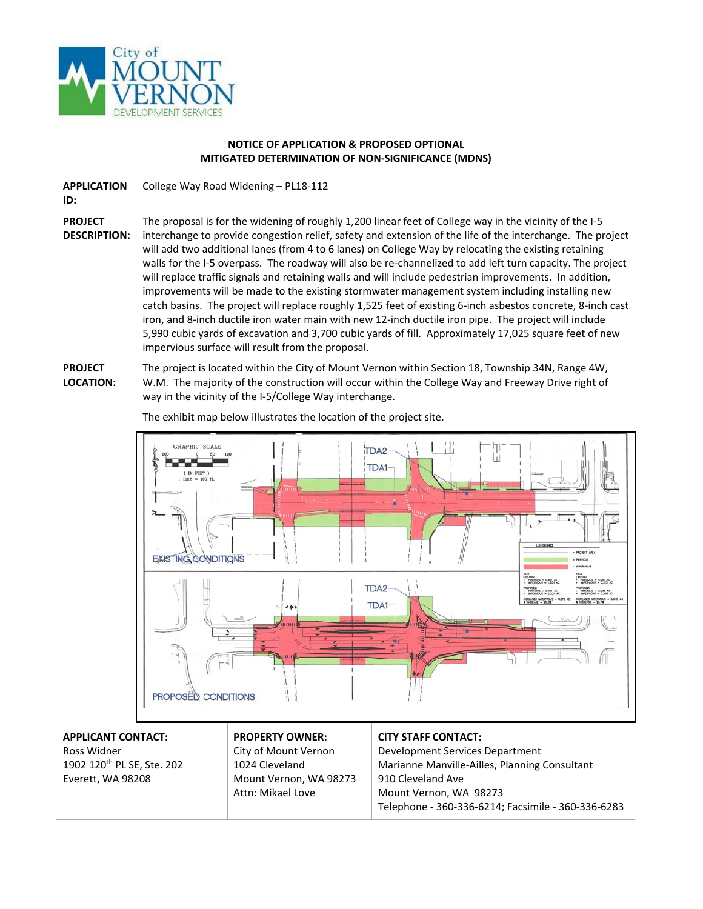

## **NOTICE OF APPLICATION & PROPOSED OPTIONAL MITIGATED DETERMINATION OF NON-SIGNIFICANCE (MDNS)**

**APPLICATION**  College Way Road Widening – PL18-112

**ID:**

**PROJECT** 

**DESCRIPTION:**

The proposal is for the widening of roughly 1,200 linear feet of College way in the vicinity of the I-5 interchange to provide congestion relief, safety and extension of the life of the interchange. The project will add two additional lanes (from 4 to 6 lanes) on College Way by relocating the existing retaining walls for the I-5 overpass. The roadway will also be re-channelized to add left turn capacity. The project will replace traffic signals and retaining walls and will include pedestrian improvements. In addition, improvements will be made to the existing stormwater management system including installing new catch basins. The project will replace roughly 1,525 feet of existing 6-inch asbestos concrete, 8-inch cast iron, and 8-inch ductile iron water main with new 12-inch ductile iron pipe. The project will include 5,990 cubic yards of excavation and 3,700 cubic yards of fill. Approximately 17,025 square feet of new impervious surface will result from the proposal.

**PROJECT LOCATION:** The project is located within the City of Mount Vernon within Section 18, Township 34N, Range 4W, W.M. The majority of the construction will occur within the College Way and Freeway Drive right of way in the vicinity of the I-5/College Way interchange.



The exhibit map below illustrates the location of the project site.

## **APPLICANT CONTACT:** Ross Widner 1902 120th PL SE, Ste. 202

Everett, WA 98208

## **PROPERTY OWNER:** City of Mount Vernon 1024 Cleveland Mount Vernon, WA 98273 Attn: Mikael Love

## **CITY STAFF CONTACT:**

Development Services Department Marianne Manville-Ailles, Planning Consultant 910 Cleveland Ave Mount Vernon, WA 98273 Telephone - 360-336-6214; Facsimile - 360-336-6283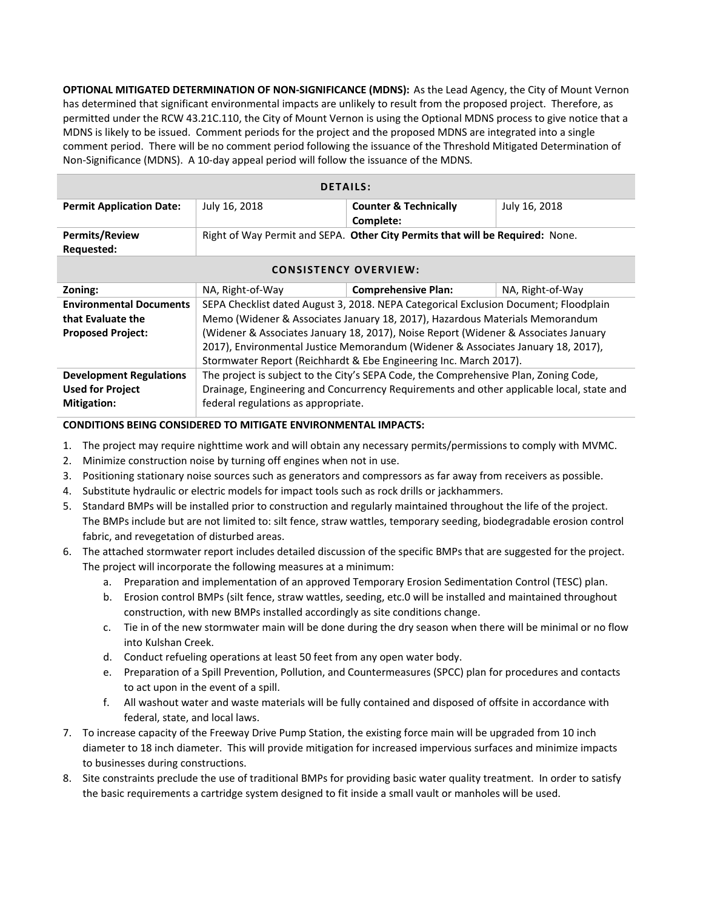**OPTIONAL MITIGATED DETERMINATION OF NON-SIGNIFICANCE (MDNS):** As the Lead Agency, the City of Mount Vernon has determined that significant environmental impacts are unlikely to result from the proposed project. Therefore, as permitted under the RCW 43.21C.110, the City of Mount Vernon is using the Optional MDNS process to give notice that a MDNS is likely to be issued. Comment periods for the project and the proposed MDNS are integrated into a single comment period. There will be no comment period following the issuance of the Threshold Mitigated Determination of Non-Significance (MDNS). A 10-day appeal period will follow the issuance of the MDNS.

| <b>DETAILS:</b>                     |               |                                                                               |               |  |
|-------------------------------------|---------------|-------------------------------------------------------------------------------|---------------|--|
| <b>Permit Application Date:</b>     | July 16, 2018 | <b>Counter &amp; Technically</b><br>Complete:                                 | July 16, 2018 |  |
| <b>Permits/Review</b><br>Requested: |               | Right of Way Permit and SEPA. Other City Permits that will be Required: None. |               |  |

| <b>CONSISTENCY OVERVIEW:</b>   |                                                                                          |                            |                  |  |
|--------------------------------|------------------------------------------------------------------------------------------|----------------------------|------------------|--|
| Zoning:                        | NA, Right-of-Way                                                                         | <b>Comprehensive Plan:</b> | NA, Right-of-Way |  |
| <b>Environmental Documents</b> | SEPA Checklist dated August 3, 2018. NEPA Categorical Exclusion Document; Floodplain     |                            |                  |  |
| that Evaluate the              | Memo (Widener & Associates January 18, 2017), Hazardous Materials Memorandum             |                            |                  |  |
| <b>Proposed Project:</b>       | (Widener & Associates January 18, 2017), Noise Report (Widener & Associates January      |                            |                  |  |
|                                | 2017), Environmental Justice Memorandum (Widener & Associates January 18, 2017),         |                            |                  |  |
|                                | Stormwater Report (Reichhardt & Ebe Engineering Inc. March 2017).                        |                            |                  |  |
| <b>Development Regulations</b> | The project is subject to the City's SEPA Code, the Comprehensive Plan, Zoning Code,     |                            |                  |  |
| <b>Used for Project</b>        | Drainage, Engineering and Concurrency Requirements and other applicable local, state and |                            |                  |  |
| <b>Mitigation:</b>             | federal regulations as appropriate.                                                      |                            |                  |  |

**CONDITIONS BEING CONSIDERED TO MITIGATE ENVIRONMENTAL IMPACTS:**

- 1. The project may require nighttime work and will obtain any necessary permits/permissions to comply with MVMC.
- 2. Minimize construction noise by turning off engines when not in use.
- 3. Positioning stationary noise sources such as generators and compressors as far away from receivers as possible.
- 4. Substitute hydraulic or electric models for impact tools such as rock drills or jackhammers.
- 5. Standard BMPs will be installed prior to construction and regularly maintained throughout the life of the project. The BMPs include but are not limited to: silt fence, straw wattles, temporary seeding, biodegradable erosion control fabric, and revegetation of disturbed areas.
- 6. The attached stormwater report includes detailed discussion of the specific BMPs that are suggested for the project. The project will incorporate the following measures at a minimum:
	- a. Preparation and implementation of an approved Temporary Erosion Sedimentation Control (TESC) plan.
	- b. Erosion control BMPs (silt fence, straw wattles, seeding, etc.0 will be installed and maintained throughout construction, with new BMPs installed accordingly as site conditions change.
	- c. Tie in of the new stormwater main will be done during the dry season when there will be minimal or no flow into Kulshan Creek.
	- d. Conduct refueling operations at least 50 feet from any open water body.
	- e. Preparation of a Spill Prevention, Pollution, and Countermeasures (SPCC) plan for procedures and contacts to act upon in the event of a spill.
	- f. All washout water and waste materials will be fully contained and disposed of offsite in accordance with federal, state, and local laws.
- 7. To increase capacity of the Freeway Drive Pump Station, the existing force main will be upgraded from 10 inch diameter to 18 inch diameter. This will provide mitigation for increased impervious surfaces and minimize impacts to businesses during constructions.
- 8. Site constraints preclude the use of traditional BMPs for providing basic water quality treatment. In order to satisfy the basic requirements a cartridge system designed to fit inside a small vault or manholes will be used.